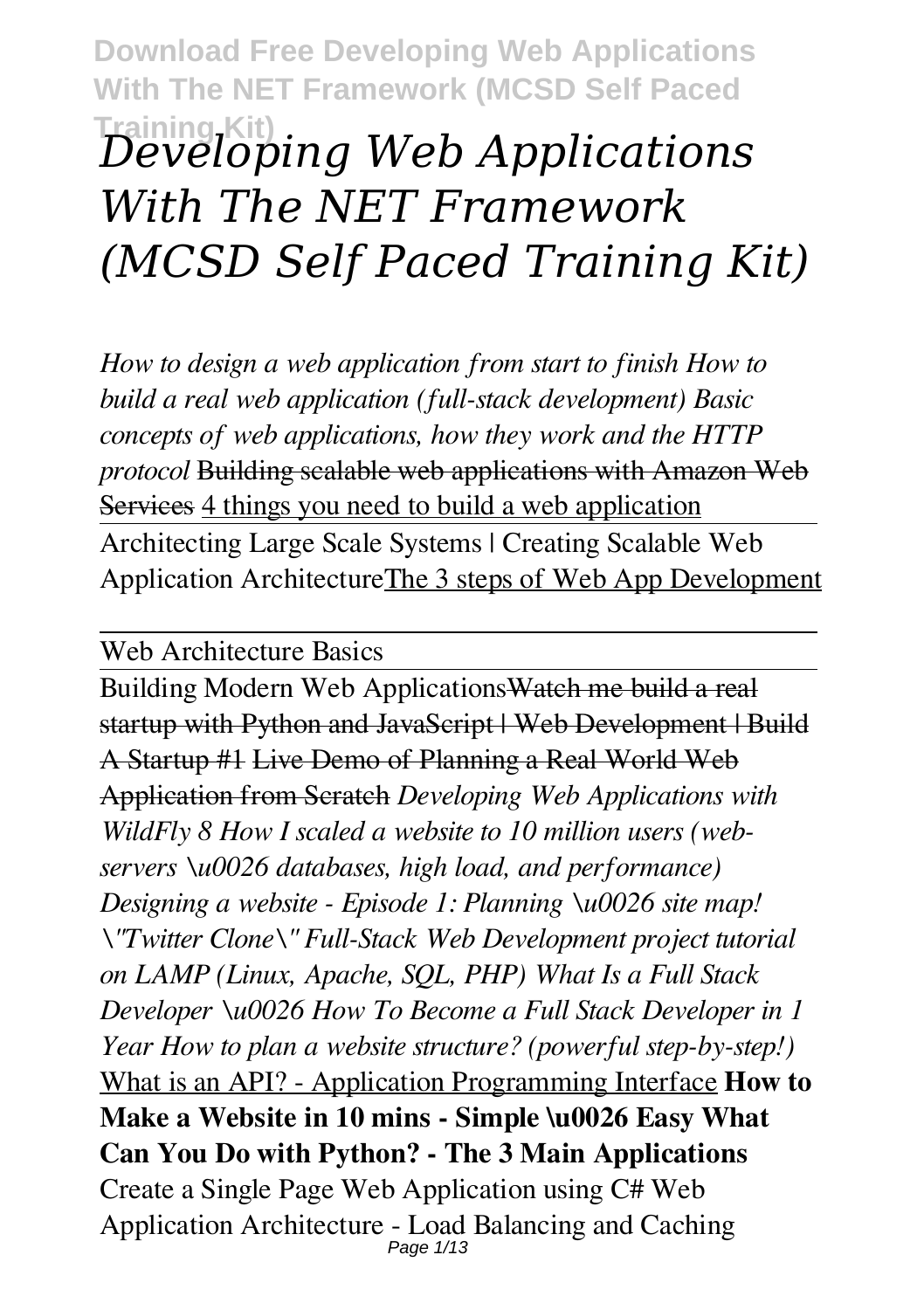# **Training Kit)** *Developing Web Applications With The NET Framework (MCSD Self Paced Training Kit)*

*How to design a web application from start to finish How to build a real web application (full-stack development) Basic concepts of web applications, how they work and the HTTP protocol* Building scalable web applications with Amazon Web Services 4 things you need to build a web application Architecting Large Scale Systems | Creating Scalable Web Application ArchitectureThe 3 steps of Web App Development

Web Architecture Basics

Building Modern Web ApplicationsWatch me build a real startup with Python and JavaScript | Web Development | Build A Startup #1 Live Demo of Planning a Real World Web Application from Scratch *Developing Web Applications with WildFly 8 How I scaled a website to 10 million users (webservers \u0026 databases, high load, and performance) Designing a website - Episode 1: Planning \u0026 site map! \"Twitter Clone\" Full-Stack Web Development project tutorial on LAMP (Linux, Apache, SQL, PHP) What Is a Full Stack Developer \u0026 How To Become a Full Stack Developer in 1 Year How to plan a website structure? (powerful step-by-step!)* What is an API? - Application Programming Interface **How to Make a Website in 10 mins - Simple \u0026 Easy What Can You Do with Python? - The 3 Main Applications** Create a Single Page Web Application using C# Web Application Architecture - Load Balancing and Caching Page 1/13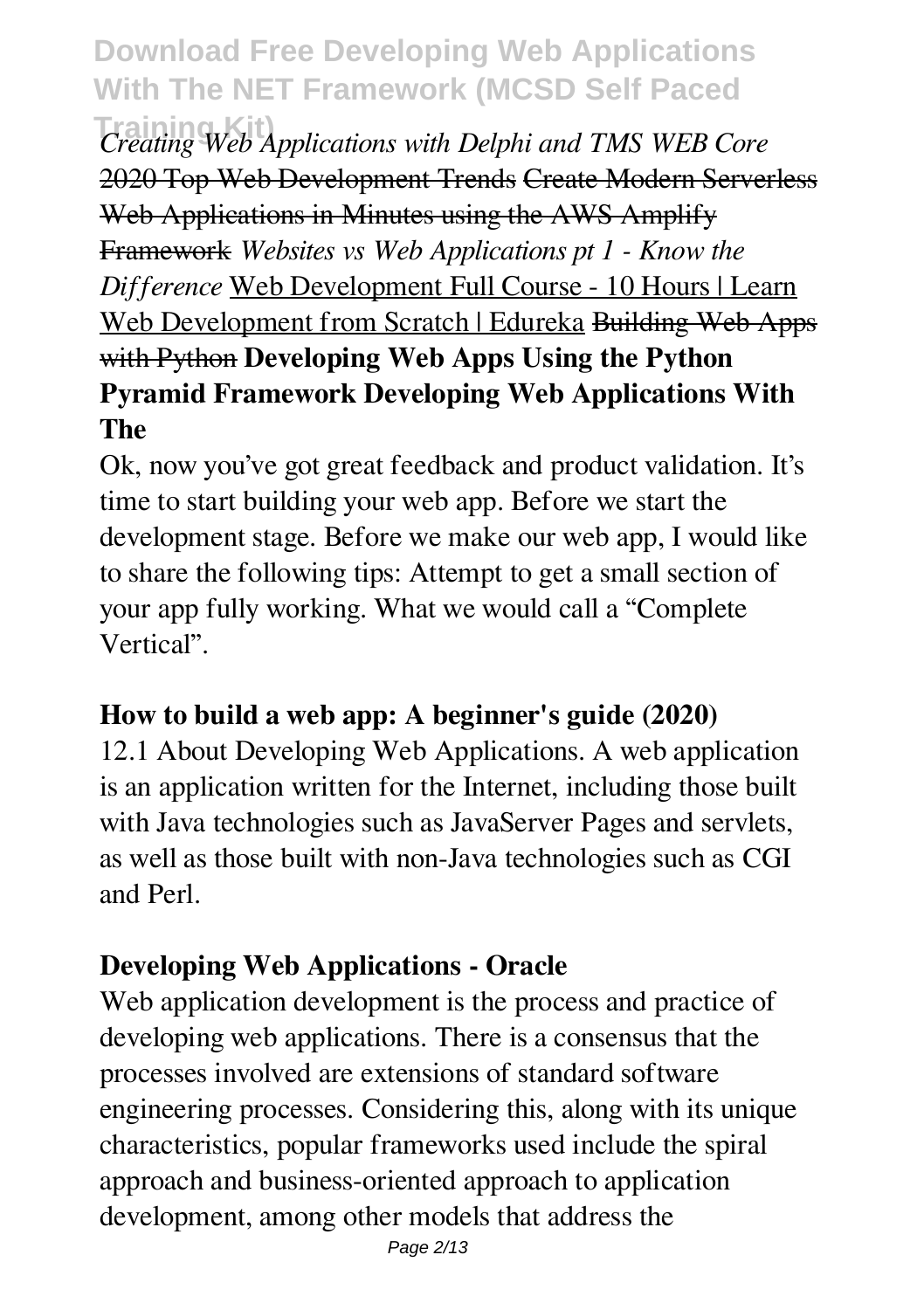**Training Kit)** *Creating Web Applications with Delphi and TMS WEB Core* 2020 Top Web Development Trends Create Modern Serverless Web Applications in Minutes using the AWS Amplify Framework *Websites vs Web Applications pt 1 - Know the Difference* Web Development Full Course - 10 Hours | Learn Web Development from Scratch | Edureka Building Web Apps with Python **Developing Web Apps Using the Python Pyramid Framework Developing Web Applications With The**

Ok, now you've got great feedback and product validation. It's time to start building your web app. Before we start the development stage. Before we make our web app, I would like to share the following tips: Attempt to get a small section of your app fully working. What we would call a "Complete Vertical".

#### **How to build a web app: A beginner's guide (2020)**

12.1 About Developing Web Applications. A web application is an application written for the Internet, including those built with Java technologies such as JavaServer Pages and servlets, as well as those built with non-Java technologies such as CGI and Perl.

# **Developing Web Applications - Oracle**

Web application development is the process and practice of developing web applications. There is a consensus that the processes involved are extensions of standard software engineering processes. Considering this, along with its unique characteristics, popular frameworks used include the spiral approach and business-oriented approach to application development, among other models that address the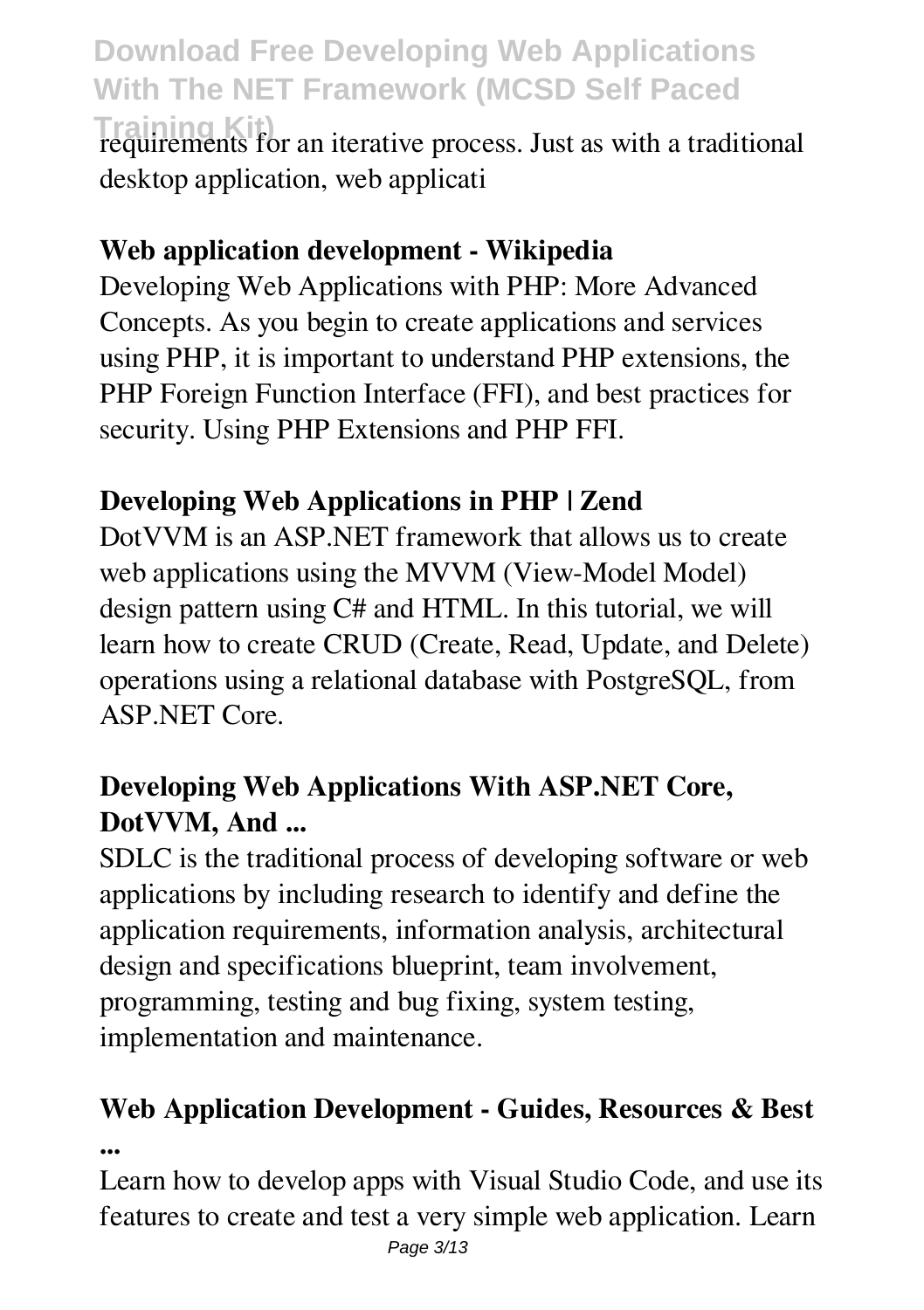**Training Kit)** requirements for an iterative process. Just as with a traditional desktop application, web applicati

#### **Web application development - Wikipedia**

Developing Web Applications with PHP: More Advanced Concepts. As you begin to create applications and services using PHP, it is important to understand PHP extensions, the PHP Foreign Function Interface (FFI), and best practices for security. Using PHP Extensions and PHP FFI.

### **Developing Web Applications in PHP | Zend**

DotVVM is an ASP.NET framework that allows us to create web applications using the MVVM (View-Model Model) design pattern using C# and HTML. In this tutorial, we will learn how to create CRUD (Create, Read, Update, and Delete) operations using a relational database with PostgreSQL, from ASP.NET Core.

### **Developing Web Applications With ASP.NET Core, DotVVM, And ...**

SDLC is the traditional process of developing software or web applications by including research to identify and define the application requirements, information analysis, architectural design and specifications blueprint, team involvement, programming, testing and bug fixing, system testing, implementation and maintenance.

# **Web Application Development - Guides, Resources & Best ...**

Learn how to develop apps with Visual Studio Code, and use its features to create and test a very simple web application. Learn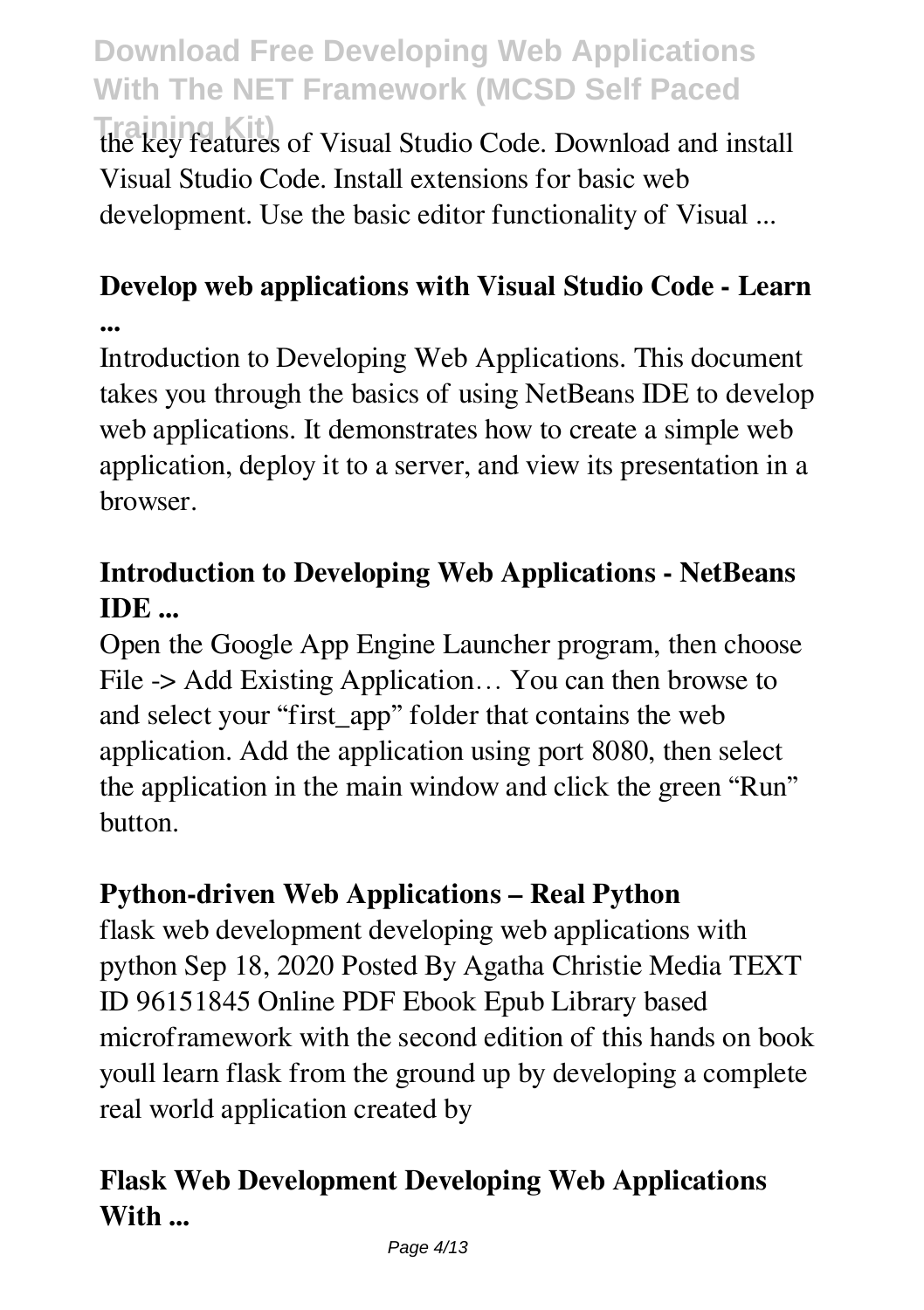**Training Kit)** the key features of Visual Studio Code. Download and install Visual Studio Code. Install extensions for basic web development. Use the basic editor functionality of Visual ...

# **Develop web applications with Visual Studio Code - Learn**

**...**

Introduction to Developing Web Applications. This document takes you through the basics of using NetBeans IDE to develop web applications. It demonstrates how to create a simple web application, deploy it to a server, and view its presentation in a browser.

# **Introduction to Developing Web Applications - NetBeans IDE ...**

Open the Google App Engine Launcher program, then choose File -> Add Existing Application... You can then browse to and select your "first\_app" folder that contains the web application. Add the application using port 8080, then select the application in the main window and click the green "Run" button.

# **Python-driven Web Applications – Real Python**

flask web development developing web applications with python Sep 18, 2020 Posted By Agatha Christie Media TEXT ID 96151845 Online PDF Ebook Epub Library based microframework with the second edition of this hands on book youll learn flask from the ground up by developing a complete real world application created by

# **Flask Web Development Developing Web Applications With ...**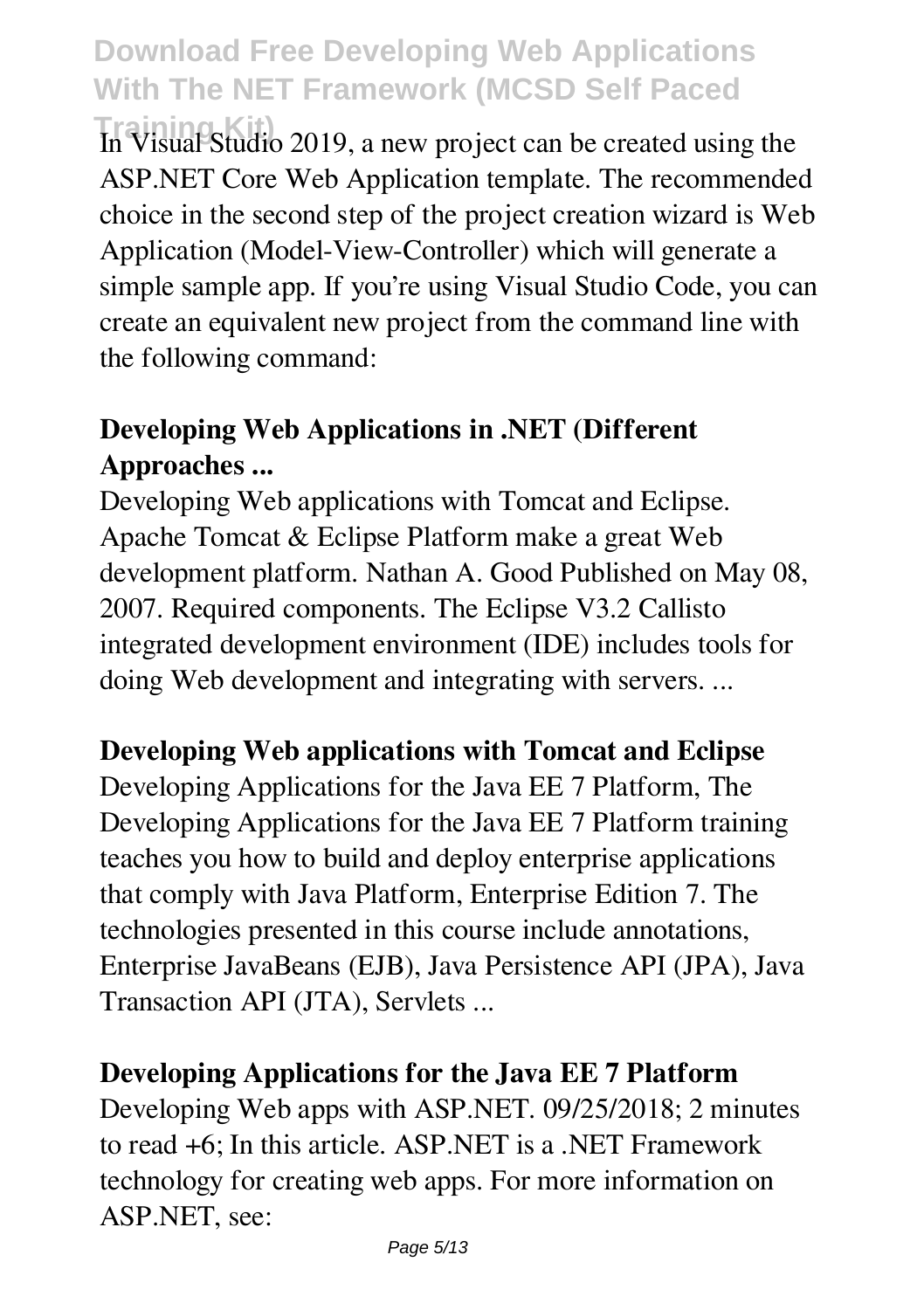**Training Kit)** In Visual Studio 2019, a new project can be created using the ASP.NET Core Web Application template. The recommended choice in the second step of the project creation wizard is Web Application (Model-View-Controller) which will generate a simple sample app. If you're using Visual Studio Code, you can create an equivalent new project from the command line with the following command:

# **Developing Web Applications in .NET (Different Approaches ...**

Developing Web applications with Tomcat and Eclipse. Apache Tomcat & Eclipse Platform make a great Web development platform. Nathan A. Good Published on May 08, 2007. Required components. The Eclipse V3.2 Callisto integrated development environment (IDE) includes tools for doing Web development and integrating with servers. ...

#### **Developing Web applications with Tomcat and Eclipse**

Developing Applications for the Java EE 7 Platform, The Developing Applications for the Java EE 7 Platform training teaches you how to build and deploy enterprise applications that comply with Java Platform, Enterprise Edition 7. The technologies presented in this course include annotations, Enterprise JavaBeans (EJB), Java Persistence API (JPA), Java Transaction API (JTA), Servlets ...

#### **Developing Applications for the Java EE 7 Platform**

Developing Web apps with ASP.NET. 09/25/2018; 2 minutes to read +6; In this article. ASP.NET is a .NET Framework technology for creating web apps. For more information on ASP.NET, see: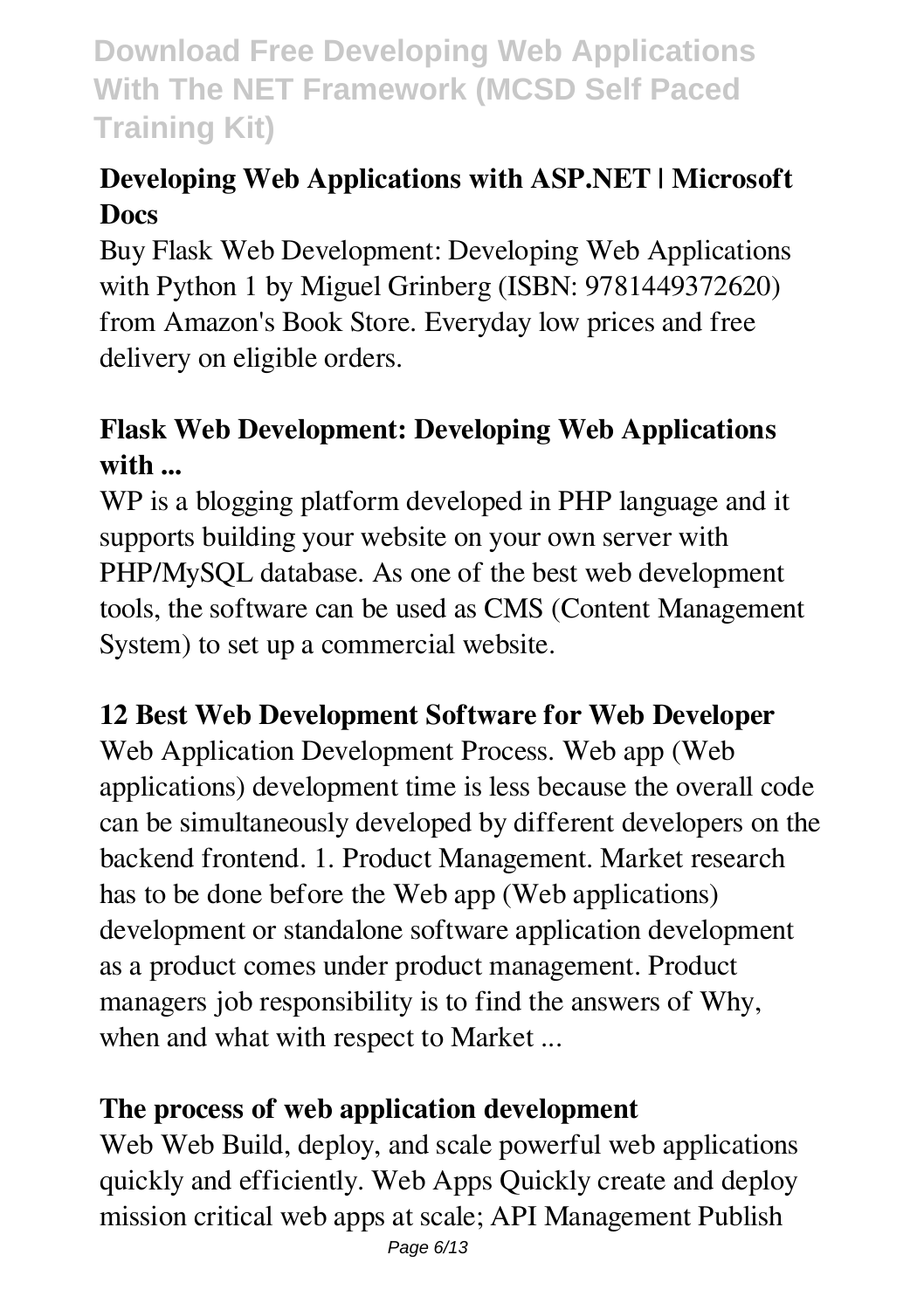# **Developing Web Applications with ASP.NET | Microsoft Docs**

Buy Flask Web Development: Developing Web Applications with Python 1 by Miguel Grinberg (ISBN: 9781449372620) from Amazon's Book Store. Everyday low prices and free delivery on eligible orders.

# **Flask Web Development: Developing Web Applications with ...**

WP is a blogging platform developed in PHP language and it supports building your website on your own server with PHP/MySQL database. As one of the best web development tools, the software can be used as CMS (Content Management System) to set up a commercial website.

#### **12 Best Web Development Software for Web Developer**

Web Application Development Process. Web app (Web applications) development time is less because the overall code can be simultaneously developed by different developers on the backend frontend. 1. Product Management. Market research has to be done before the Web app (Web applications) development or standalone software application development as a product comes under product management. Product managers job responsibility is to find the answers of Why, when and what with respect to Market ...

#### **The process of web application development**

Web Web Build, deploy, and scale powerful web applications quickly and efficiently. Web Apps Quickly create and deploy mission critical web apps at scale; API Management Publish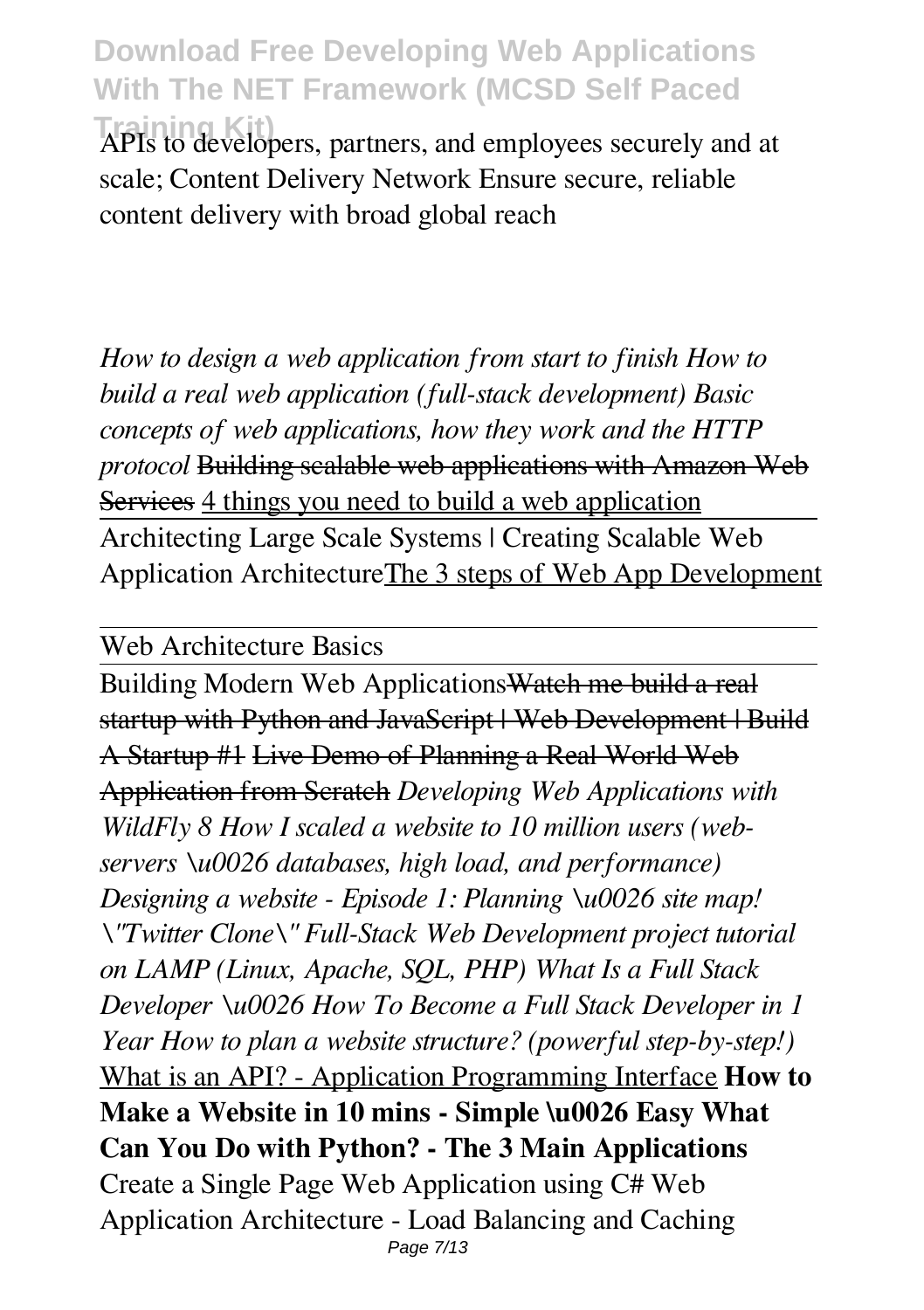**Training Kit)** APIs to developers, partners, and employees securely and at scale; Content Delivery Network Ensure secure, reliable content delivery with broad global reach

*How to design a web application from start to finish How to build a real web application (full-stack development) Basic concepts of web applications, how they work and the HTTP protocol* Building scalable web applications with Amazon Web Services 4 things you need to build a web application Architecting Large Scale Systems | Creating Scalable Web Application ArchitectureThe 3 steps of Web App Development

Web Architecture Basics

Building Modern Web ApplicationsWatch me build a real startup with Python and JavaScript | Web Development | Build A Startup #1 Live Demo of Planning a Real World Web Application from Scratch *Developing Web Applications with WildFly 8 How I scaled a website to 10 million users (webservers \u0026 databases, high load, and performance) Designing a website - Episode 1: Planning \u0026 site map! \"Twitter Clone\" Full-Stack Web Development project tutorial on LAMP (Linux, Apache, SQL, PHP) What Is a Full Stack Developer \u0026 How To Become a Full Stack Developer in 1 Year How to plan a website structure? (powerful step-by-step!)* What is an API? - Application Programming Interface **How to Make a Website in 10 mins - Simple \u0026 Easy What Can You Do with Python? - The 3 Main Applications** Create a Single Page Web Application using C# Web Application Architecture - Load Balancing and Caching Page 7/13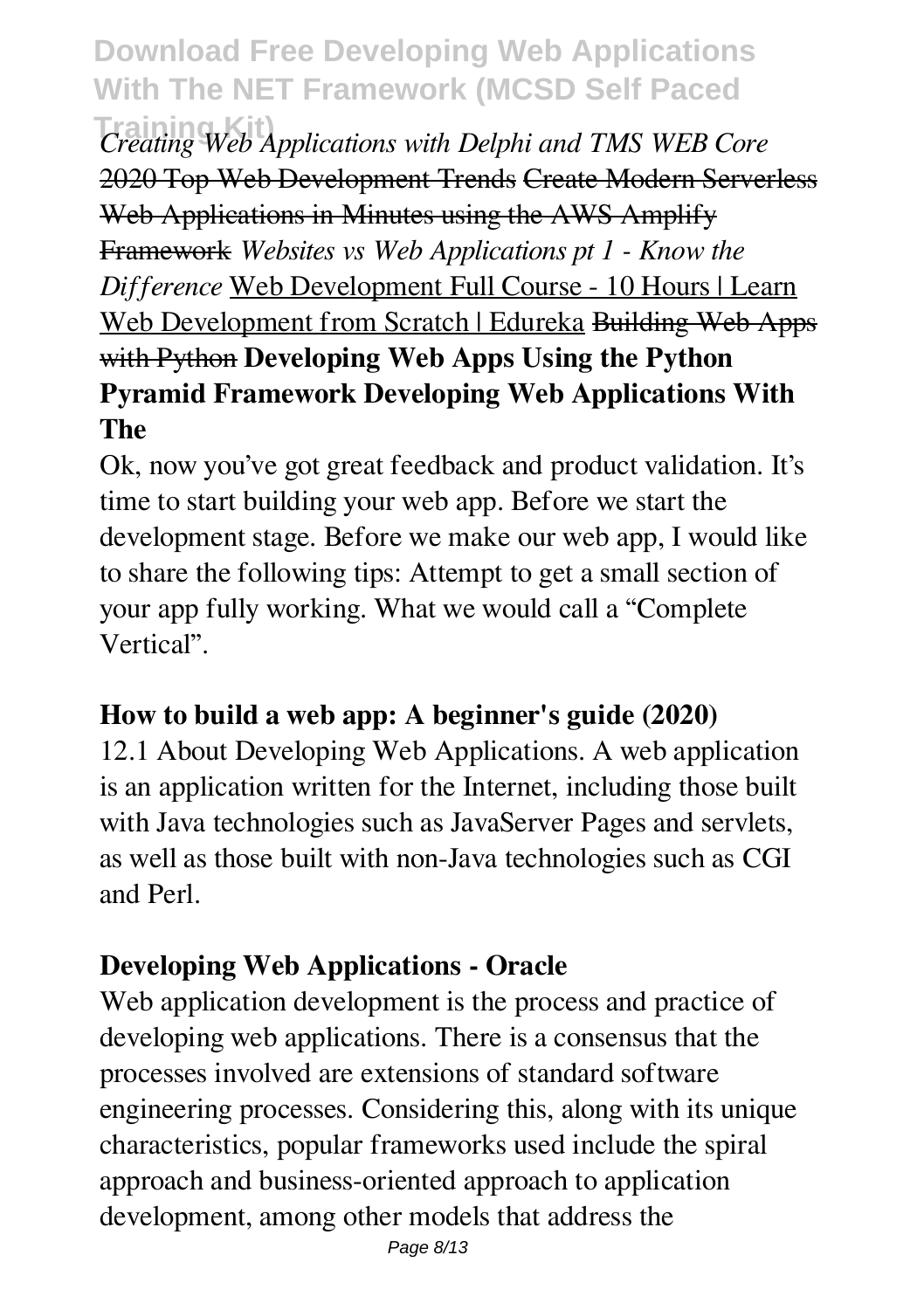**Training Kit)** *Creating Web Applications with Delphi and TMS WEB Core* 2020 Top Web Development Trends Create Modern Serverless Web Applications in Minutes using the AWS Amplify Framework *Websites vs Web Applications pt 1 - Know the Difference* Web Development Full Course - 10 Hours | Learn Web Development from Scratch | Edureka Building Web Apps with Python **Developing Web Apps Using the Python Pyramid Framework Developing Web Applications With The**

Ok, now you've got great feedback and product validation. It's time to start building your web app. Before we start the development stage. Before we make our web app, I would like to share the following tips: Attempt to get a small section of your app fully working. What we would call a "Complete Vertical".

#### **How to build a web app: A beginner's guide (2020)**

12.1 About Developing Web Applications. A web application is an application written for the Internet, including those built with Java technologies such as JavaServer Pages and servlets, as well as those built with non-Java technologies such as CGI and Perl.

# **Developing Web Applications - Oracle**

Web application development is the process and practice of developing web applications. There is a consensus that the processes involved are extensions of standard software engineering processes. Considering this, along with its unique characteristics, popular frameworks used include the spiral approach and business-oriented approach to application development, among other models that address the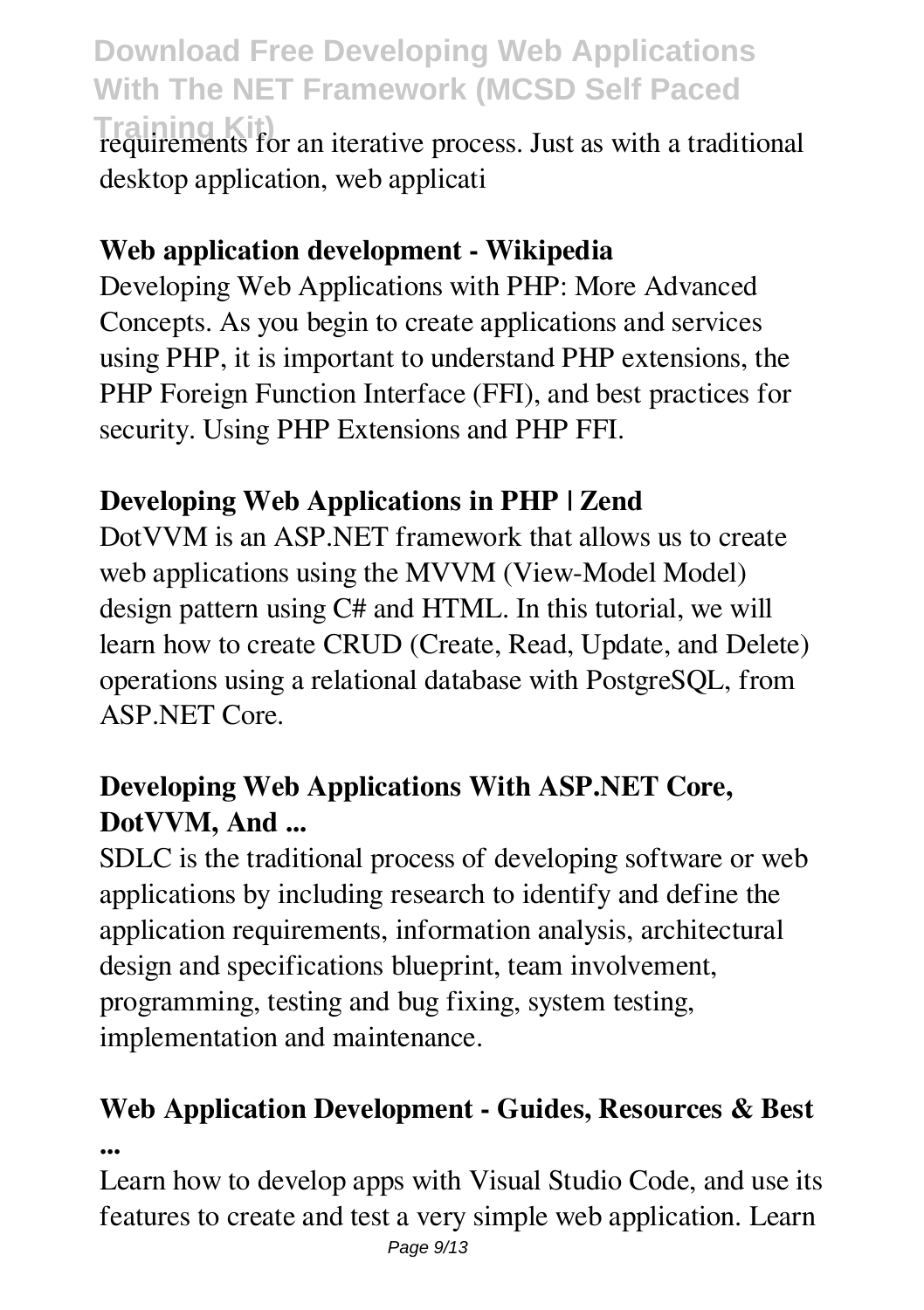**Training Kit)** requirements for an iterative process. Just as with a traditional desktop application, web applicati

#### **Web application development - Wikipedia**

Developing Web Applications with PHP: More Advanced Concepts. As you begin to create applications and services using PHP, it is important to understand PHP extensions, the PHP Foreign Function Interface (FFI), and best practices for security. Using PHP Extensions and PHP FFI.

### **Developing Web Applications in PHP | Zend**

DotVVM is an ASP.NET framework that allows us to create web applications using the MVVM (View-Model Model) design pattern using C# and HTML. In this tutorial, we will learn how to create CRUD (Create, Read, Update, and Delete) operations using a relational database with PostgreSQL, from ASP.NET Core.

### **Developing Web Applications With ASP.NET Core, DotVVM, And ...**

SDLC is the traditional process of developing software or web applications by including research to identify and define the application requirements, information analysis, architectural design and specifications blueprint, team involvement, programming, testing and bug fixing, system testing, implementation and maintenance.

# **Web Application Development - Guides, Resources & Best ...**

Learn how to develop apps with Visual Studio Code, and use its features to create and test a very simple web application. Learn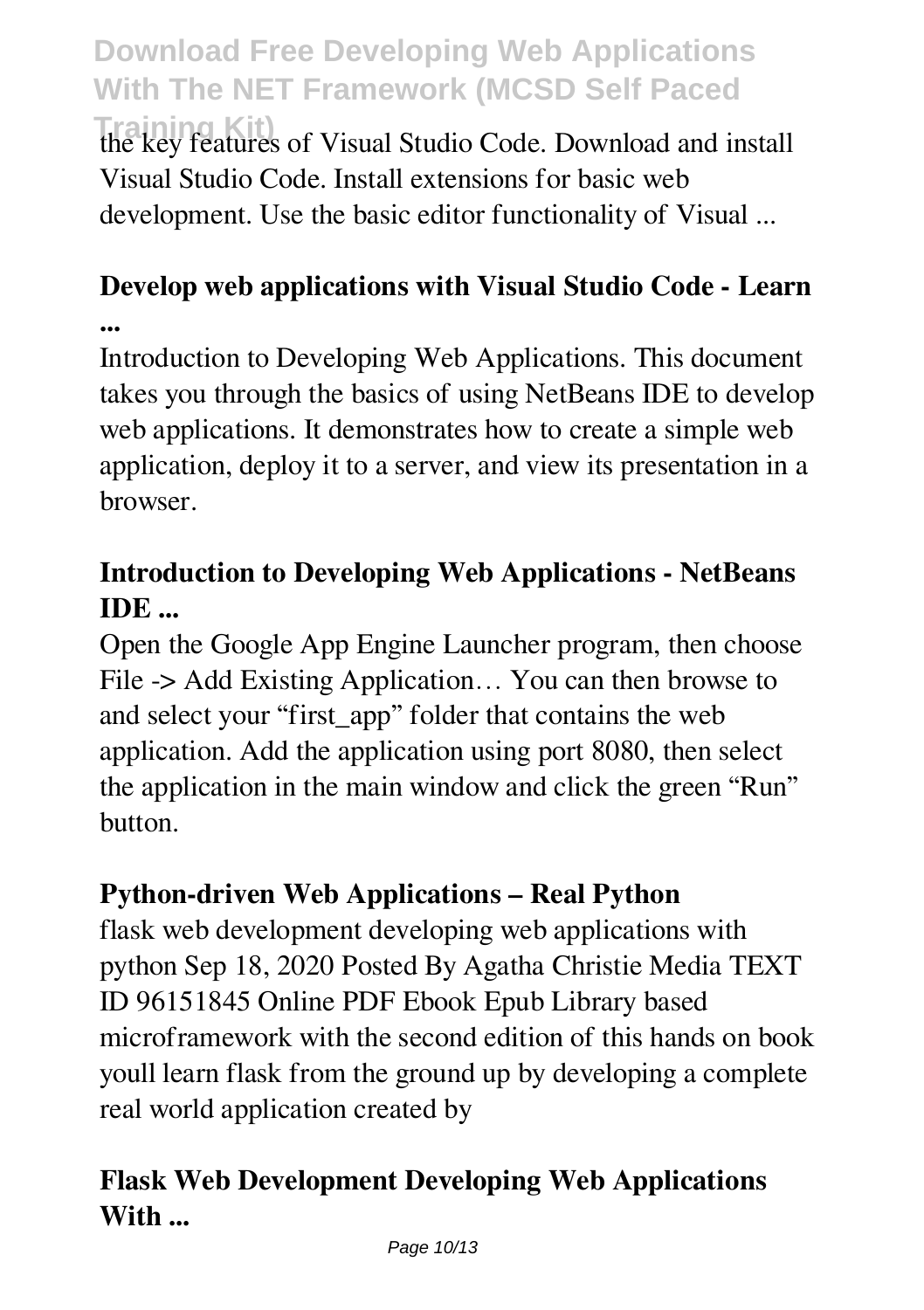**Training Kit)** the key features of Visual Studio Code. Download and install Visual Studio Code. Install extensions for basic web development. Use the basic editor functionality of Visual ...

# **Develop web applications with Visual Studio Code - Learn**

**...**

Introduction to Developing Web Applications. This document takes you through the basics of using NetBeans IDE to develop web applications. It demonstrates how to create a simple web application, deploy it to a server, and view its presentation in a browser.

# **Introduction to Developing Web Applications - NetBeans IDE ...**

Open the Google App Engine Launcher program, then choose File -> Add Existing Application... You can then browse to and select your "first\_app" folder that contains the web application. Add the application using port 8080, then select the application in the main window and click the green "Run" button.

# **Python-driven Web Applications – Real Python**

flask web development developing web applications with python Sep 18, 2020 Posted By Agatha Christie Media TEXT ID 96151845 Online PDF Ebook Epub Library based microframework with the second edition of this hands on book youll learn flask from the ground up by developing a complete real world application created by

# **Flask Web Development Developing Web Applications With ...**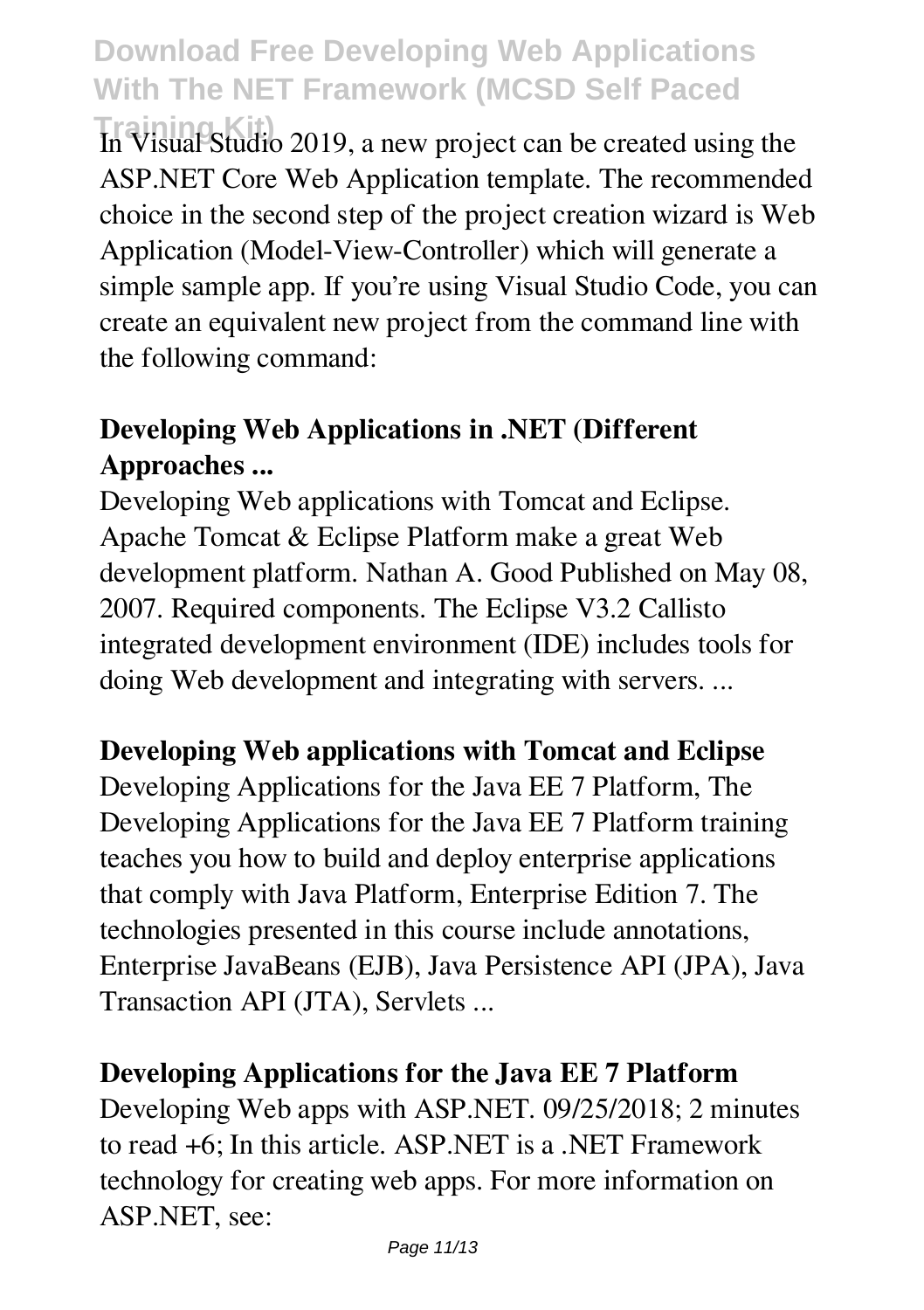**Training Kit)** In Visual Studio 2019, a new project can be created using the ASP.NET Core Web Application template. The recommended choice in the second step of the project creation wizard is Web Application (Model-View-Controller) which will generate a simple sample app. If you're using Visual Studio Code, you can create an equivalent new project from the command line with the following command:

# **Developing Web Applications in .NET (Different Approaches ...**

Developing Web applications with Tomcat and Eclipse. Apache Tomcat & Eclipse Platform make a great Web development platform. Nathan A. Good Published on May 08, 2007. Required components. The Eclipse V3.2 Callisto integrated development environment (IDE) includes tools for doing Web development and integrating with servers. ...

#### **Developing Web applications with Tomcat and Eclipse**

Developing Applications for the Java EE 7 Platform, The Developing Applications for the Java EE 7 Platform training teaches you how to build and deploy enterprise applications that comply with Java Platform, Enterprise Edition 7. The technologies presented in this course include annotations, Enterprise JavaBeans (EJB), Java Persistence API (JPA), Java Transaction API (JTA), Servlets ...

#### **Developing Applications for the Java EE 7 Platform**

Developing Web apps with ASP.NET. 09/25/2018; 2 minutes to read +6; In this article. ASP.NET is a .NET Framework technology for creating web apps. For more information on ASP.NET, see: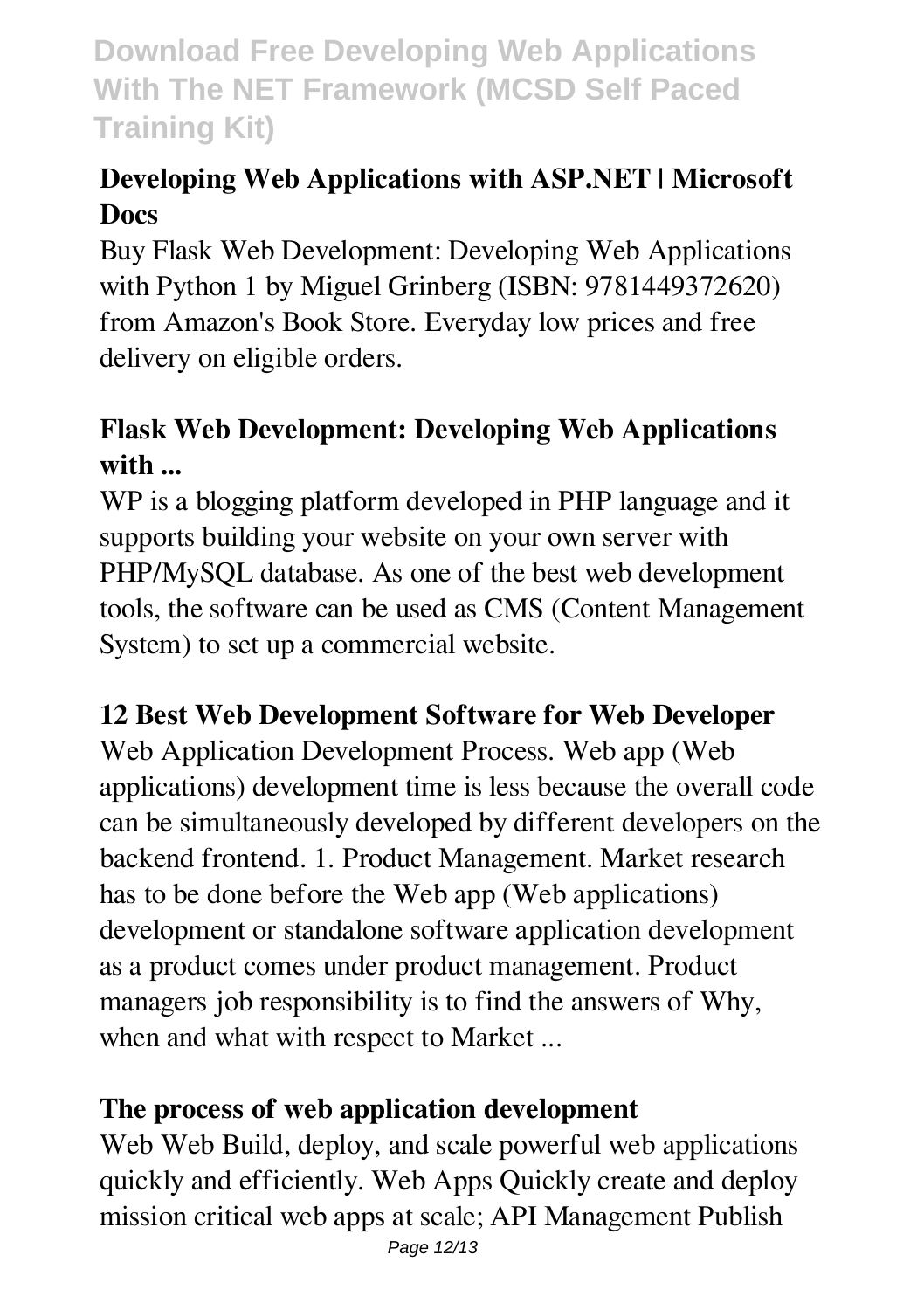# **Developing Web Applications with ASP.NET | Microsoft Docs**

Buy Flask Web Development: Developing Web Applications with Python 1 by Miguel Grinberg (ISBN: 9781449372620) from Amazon's Book Store. Everyday low prices and free delivery on eligible orders.

# **Flask Web Development: Developing Web Applications with ...**

WP is a blogging platform developed in PHP language and it supports building your website on your own server with PHP/MySQL database. As one of the best web development tools, the software can be used as CMS (Content Management System) to set up a commercial website.

#### **12 Best Web Development Software for Web Developer**

Web Application Development Process. Web app (Web applications) development time is less because the overall code can be simultaneously developed by different developers on the backend frontend. 1. Product Management. Market research has to be done before the Web app (Web applications) development or standalone software application development as a product comes under product management. Product managers job responsibility is to find the answers of Why, when and what with respect to Market ...

#### **The process of web application development**

Web Web Build, deploy, and scale powerful web applications quickly and efficiently. Web Apps Quickly create and deploy mission critical web apps at scale; API Management Publish